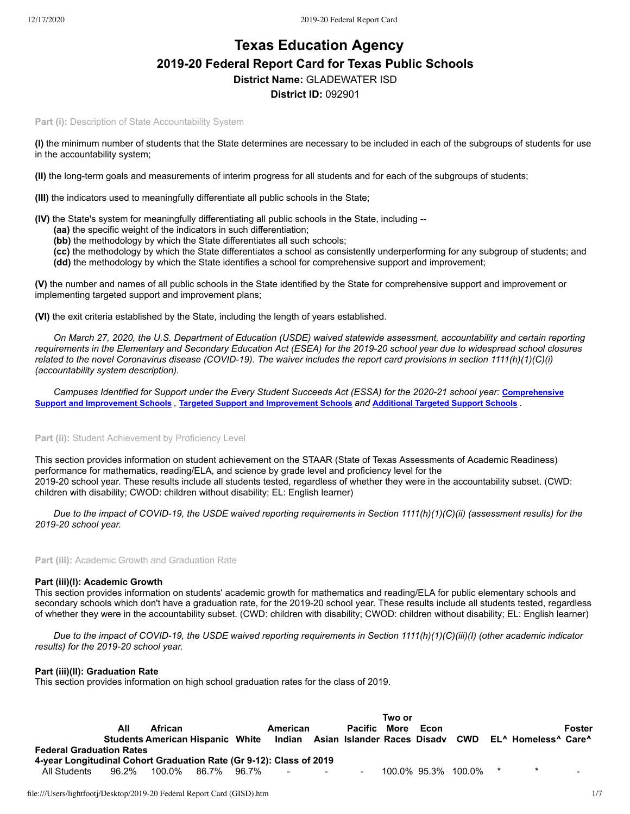# **Texas Education Agency 2019-20 Federal Report Card for Texas Public Schools District Name:** GLADEWATER ISD

# **District ID:** 092901

**Part (i): Description of State Accountability System** 

**(I)** the minimum number of students that the State determines are necessary to be included in each of the subgroups of students for use in the accountability system;

**(II)** the long-term goals and measurements of interim progress for all students and for each of the subgroups of students;

**(III)** the indicators used to meaningfully differentiate all public schools in the State;

- **(IV)** the State's system for meaningfully differentiating all public schools in the State, including --
	- **(aa)** the specific weight of the indicators in such differentiation;
	- **(bb)** the methodology by which the State differentiates all such schools;
	- **(cc)** the methodology by which the State differentiates a school as consistently underperforming for any subgroup of students; and **(dd)** the methodology by which the State identifies a school for comprehensive support and improvement;

**(V)** the number and names of all public schools in the State identified by the State for comprehensive support and improvement or implementing targeted support and improvement plans;

**(VI)** the exit criteria established by the State, including the length of years established.

*On March 27, 2020, the U.S. Department of Education (USDE) waived statewide assessment, accountability and certain reporting requirements in the Elementary and Secondary Education Act (ESEA) for the 2019-20 school year due to widespread school closures related to the novel Coronavirus disease (COVID-19). The waiver includes the report card provisions in section 1111(h)(1)(C)(i) (accountability system description).*

*[Campuses Identified for Support under the Every Student Succeeds Act \(ESSA\) for the 2020-21 school year:](https://tea.texas.gov/sites/default/files/comprehensive_support_2020.xlsx)* **Comprehensive** Support and [Improvement](https://tea.texas.gov/sites/default/files/targeted_support_2020.xlsx) Schools , Targeted Support and Improvement Schools and [Additional](https://tea.texas.gov/sites/default/files/additional_targeted_support_2020.xlsx) Targeted Support Schools .

# Part (ii): Student Achievement by Proficiency Level

This section provides information on student achievement on the STAAR (State of Texas Assessments of Academic Readiness) performance for mathematics, reading/ELA, and science by grade level and proficiency level for the 2019-20 school year. These results include all students tested, regardless of whether they were in the accountability subset. (CWD: children with disability; CWOD: children without disability; EL: English learner)

*Due to the impact of COVID-19, the USDE waived reporting requirements in Section 1111(h)(1)(C)(ii) (assessment results) for the 2019-20 school year.*

**Part (iii):** Academic Growth and Graduation Rate

# **Part (iii)(I): Academic Growth**

This section provides information on students' academic growth for mathematics and reading/ELA for public elementary schools and secondary schools which don't have a graduation rate, for the 2019-20 school year. These results include all students tested, regardless of whether they were in the accountability subset. (CWD: children with disability; CWOD: children without disability; EL: English learner)

*Due to the impact of COVID-19, the USDE waived reporting requirements in Section 1111(h)(1)(C)(iii)(I) (other academic indicator results) for the 2019-20 school year.*

# **Part (iii)(II): Graduation Rate**

This section provides information on high school graduation rates for the class of 2019.

|                                                                     |       |                      | Two or |  |                                   |  |                     |  |      |                       |  |                                                                                             |        |
|---------------------------------------------------------------------|-------|----------------------|--------|--|-----------------------------------|--|---------------------|--|------|-----------------------|--|---------------------------------------------------------------------------------------------|--------|
|                                                                     | All   | <b>African</b>       |        |  | American                          |  | <b>Pacific More</b> |  | Econ |                       |  |                                                                                             | Foster |
|                                                                     |       |                      |        |  |                                   |  |                     |  |      |                       |  | Students American Hispanic White Indian Asian Islander Races Disady CWD EL^ Homeless^ Care^ |        |
| <b>Federal Graduation Rates</b>                                     |       |                      |        |  |                                   |  |                     |  |      |                       |  |                                                                                             |        |
| 4-year Longitudinal Cohort Graduation Rate (Gr 9-12): Class of 2019 |       |                      |        |  |                                   |  |                     |  |      |                       |  |                                                                                             |        |
| All Students                                                        | 96.2% | 100.0%  86.7%  96.7% |        |  | and the control of the control of |  | $\sim$              |  |      | 100.0% 95.3% 100.0% * |  |                                                                                             |        |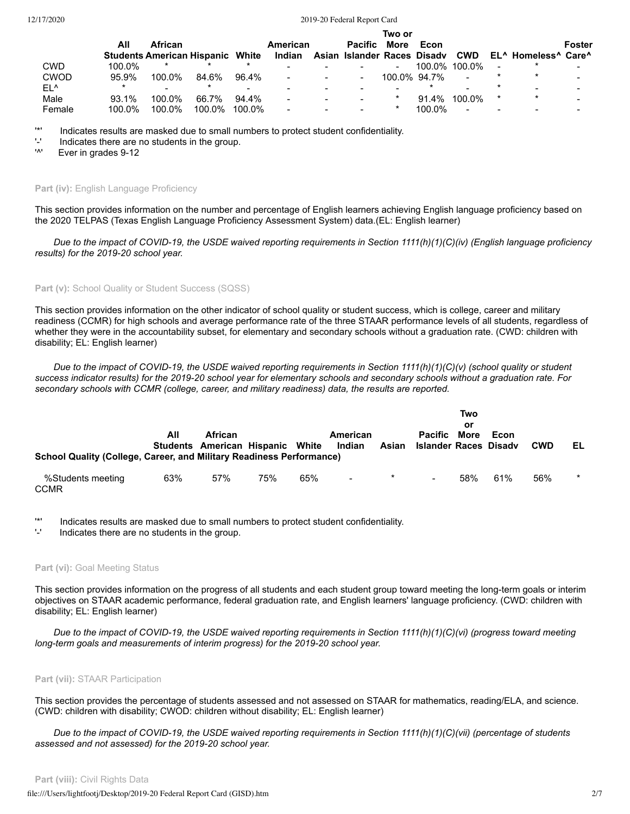|             | Two or   |           |                                         |                          |          |  |                             |                          |              |                |                          |                                                         |        |
|-------------|----------|-----------|-----------------------------------------|--------------------------|----------|--|-----------------------------|--------------------------|--------------|----------------|--------------------------|---------------------------------------------------------|--------|
|             | All      | African   |                                         |                          | American |  | <b>Pacific</b>              | More                     | Econ         |                |                          |                                                         | Foster |
|             |          |           | <b>Students American Hispanic White</b> |                          | Indian   |  | Asian Islander Races Disady |                          |              | <b>CWD</b>     |                          | EL <sup>A</sup> Homeless <sup>A</sup> Care <sup>A</sup> |        |
| CWD         | 100.0%   | $\star$   | $\star$                                 | $\ast$                   |          |  |                             | $\overline{\phantom{a}}$ |              | 100.0% 100.0%  | $\overline{\phantom{a}}$ |                                                         |        |
| <b>CWOD</b> | 95.9%    | 100.0%    | 84.6%                                   | 96.4%                    |          |  | $\overline{\phantom{a}}$    |                          | 100.0% 94.7% | $\blacksquare$ |                          | $\ast$                                                  |        |
| EL^         |          |           |                                         | $\overline{\phantom{0}}$ |          |  |                             | -                        |              |                |                          |                                                         |        |
| Male        | $93.1\%$ | $100.0\%$ | 66.7%                                   | 94.4%                    |          |  |                             | $\ast$                   | 91.4%        | 100.0%         | $\ast$                   | $\star$                                                 |        |
| Female      | 100.0%   | $100.0\%$ | 100.0%                                  | $100.0\%$                |          |  |                             | *                        | 100.0%       |                |                          |                                                         |        |

'\*' Indicates results are masked due to small numbers to protect student confidentiality.

- $'$ -' Indicates there are no students in the group.
- Ever in grades 9-12

#### Part (iv): English Language Proficiency

This section provides information on the number and percentage of English learners achieving English language proficiency based on the 2020 TELPAS (Texas English Language Proficiency Assessment System) data.(EL: English learner)

*Due to the impact of COVID-19, the USDE waived reporting requirements in Section 1111(h)(1)(C)(iv) (English language proficiency results) for the 2019-20 school year.*

## Part (v): School Quality or Student Success (SQSS)

This section provides information on the other indicator of school quality or student success, which is college, career and military readiness (CCMR) for high schools and average performance rate of the three STAAR performance levels of all students, regardless of whether they were in the accountability subset, for elementary and secondary schools without a graduation rate. (CWD: children with disability; EL: English learner)

*Due to the impact of COVID-19, the USDE waived reporting requirements in Section 1111(h)(1)(C)(v) (school quality or student success indicator results) for the 2019-20 school year for elementary schools and secondary schools without a graduation rate. For secondary schools with CCMR (college, career, and military readiness) data, the results are reported.*

| <b>School Quality (College, Career, and Military Readiness Performance)</b> | All | <b>African</b><br>Students American Hispanic White |     |     | American<br>Indian | Asian   | <b>Pacific More</b><br>Islander Races Disady | Two<br>or | Econ | <b>CWD</b> | EL      |
|-----------------------------------------------------------------------------|-----|----------------------------------------------------|-----|-----|--------------------|---------|----------------------------------------------|-----------|------|------------|---------|
| %Students meeting<br><b>CCMR</b>                                            | 63% | 57%                                                | 75% | 65% | $\sim 10^{-11}$    | $\star$ | $\overline{\phantom{0}}$                     | 58%       | 61%  | 56%        | $\star$ |

'\*' Indicates results are masked due to small numbers to protect student confidentiality.

Indicates there are no students in the group.

#### Part (vi): Goal Meeting Status

This section provides information on the progress of all students and each student group toward meeting the long-term goals or interim objectives on STAAR academic performance, federal graduation rate, and English learners' language proficiency. (CWD: children with disability; EL: English learner)

*Due to the impact of COVID-19, the USDE waived reporting requirements in Section 1111(h)(1)(C)(vi) (progress toward meeting long-term goals and measurements of interim progress) for the 2019-20 school year.*

## **Part (vii):** STAAR Participation

This section provides the percentage of students assessed and not assessed on STAAR for mathematics, reading/ELA, and science. (CWD: children with disability; CWOD: children without disability; EL: English learner)

*Due to the impact of COVID-19, the USDE waived reporting requirements in Section 1111(h)(1)(C)(vii) (percentage of students assessed and not assessed) for the 2019-20 school year.*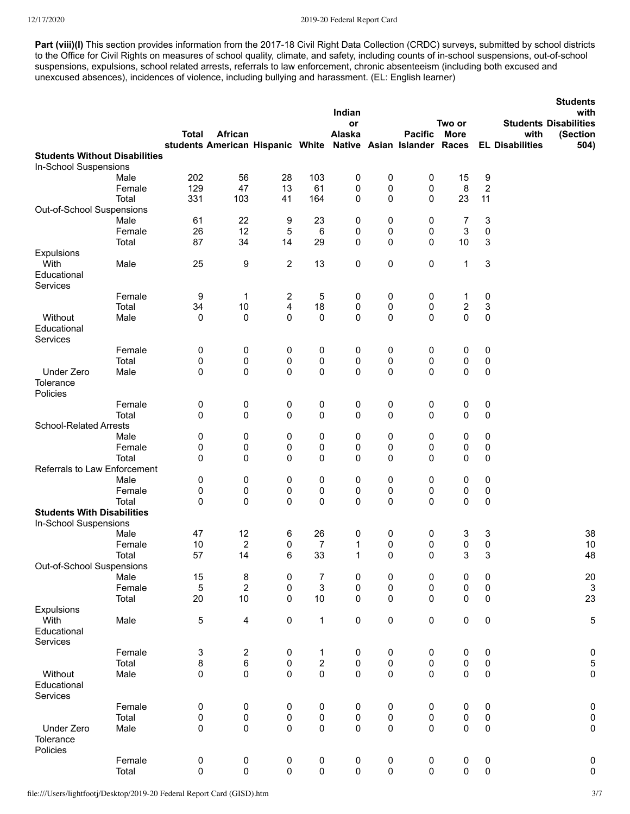Part (viii)(I) This section provides information from the 2017-18 Civil Right Data Collection (CRDC) surveys, submitted by school districts to the Office for Civil Rights on measures of school quality, climate, and safety, including counts of in-school suspensions, out-of-school suspensions, expulsions, school related arrests, referrals to law enforcement, chronic absenteeism (including both excused and unexcused absences), incidences of violence, including bullying and harassment. (EL: English learner)

|                                      |        |              |                                                                         |                         |                | Indian<br>or |           |                | Two or      |                  |                                | <b>Students</b><br>with<br><b>Students Disabilities</b> |
|--------------------------------------|--------|--------------|-------------------------------------------------------------------------|-------------------------|----------------|--------------|-----------|----------------|-------------|------------------|--------------------------------|---------------------------------------------------------|
|                                      |        | <b>Total</b> | African<br>students American Hispanic White Native Asian Islander Races |                         |                | Alaska       |           | <b>Pacific</b> | <b>More</b> |                  | with<br><b>EL Disabilities</b> | (Section<br>504)                                        |
| <b>Students Without Disabilities</b> |        |              |                                                                         |                         |                |              |           |                |             |                  |                                |                                                         |
| In-School Suspensions                |        |              |                                                                         |                         |                |              |           |                |             |                  |                                |                                                         |
|                                      | Male   | 202          | 56                                                                      | 28                      | 103            | 0            | 0         | 0              | 15          | 9                |                                |                                                         |
|                                      | Female | 129          | 47                                                                      | 13                      | 61             | 0            | 0         | 0              | 8           | $\boldsymbol{2}$ |                                |                                                         |
|                                      | Total  | 331          | 103                                                                     | 41                      | 164            | 0            | 0         | 0              | 23          | 11               |                                |                                                         |
| Out-of-School Suspensions            |        |              |                                                                         |                         |                |              |           |                |             |                  |                                |                                                         |
|                                      | Male   | 61           | 22                                                                      | 9                       | 23             | 0            | 0         | 0              | 7           | 3                |                                |                                                         |
|                                      | Female | 26           | 12                                                                      | 5                       | 6              | 0            | 0         | 0              | 3           | 0                |                                |                                                         |
|                                      | Total  | 87           | 34                                                                      | 14                      | 29             | 0            | 0         | 0              | 10          | $\sqrt{3}$       |                                |                                                         |
| Expulsions                           |        |              |                                                                         |                         |                |              |           |                |             |                  |                                |                                                         |
| With                                 | Male   | 25           | 9                                                                       | $\mathbf{2}$            | 13             | 0            | 0         | 0              | 1           | 3                |                                |                                                         |
| Educational                          |        |              |                                                                         |                         |                |              |           |                |             |                  |                                |                                                         |
| <b>Services</b>                      |        |              |                                                                         |                         |                |              |           |                |             |                  |                                |                                                         |
|                                      | Female | 9            | $\mathbf{1}$                                                            | $\overline{\mathbf{c}}$ | 5              | 0            | 0         | 0              | 1           | 0                |                                |                                                         |
|                                      | Total  | 34           | $10$                                                                    | 4                       | 18             | 0            | 0         | 0              | 2           | 3                |                                |                                                         |
| Without                              | Male   | 0            | 0                                                                       | 0                       | 0              | 0            | 0         | $\Omega$       | 0           | 0                |                                |                                                         |
| Educational                          |        |              |                                                                         |                         |                |              |           |                |             |                  |                                |                                                         |
| <b>Services</b>                      |        |              |                                                                         |                         |                |              |           |                |             |                  |                                |                                                         |
|                                      | Female | 0            | 0                                                                       | 0                       | 0              | 0            | 0         | 0              | 0           | 0                |                                |                                                         |
|                                      | Total  | 0            | 0                                                                       | 0                       | 0              | 0            | 0         | 0              | 0           | 0                |                                |                                                         |
| Under Zero                           | Male   | 0            | 0                                                                       | 0                       | 0              | 0            | 0         | $\Omega$       | 0           | 0                |                                |                                                         |
| Tolerance                            |        |              |                                                                         |                         |                |              |           |                |             |                  |                                |                                                         |
| Policies                             |        |              |                                                                         |                         |                |              |           |                |             |                  |                                |                                                         |
|                                      | Female | 0            | 0                                                                       | 0                       | 0              | 0            | 0         | $\pmb{0}$      | 0           | 0                |                                |                                                         |
|                                      | Total  | 0            | 0                                                                       | 0                       | 0              | 0            | 0         | $\mathbf 0$    | 0           | 0                |                                |                                                         |
| <b>School-Related Arrests</b>        |        |              |                                                                         |                         |                |              |           |                |             |                  |                                |                                                         |
|                                      | Male   | 0            | 0                                                                       | 0                       | 0              | 0            | 0         | 0              | 0           | 0                |                                |                                                         |
|                                      | Female | 0            | 0                                                                       | 0                       | 0              | 0            | 0         | 0              | 0           | 0                |                                |                                                         |
|                                      | Total  | 0            | 0                                                                       | 0                       | 0              | 0            | 0         | $\Omega$       | 0           | 0                |                                |                                                         |
| Referrals to Law Enforcement         |        |              |                                                                         |                         |                |              |           |                |             |                  |                                |                                                         |
|                                      | Male   | 0            | 0                                                                       | 0                       | 0              | 0            | 0         | 0              | 0           | 0                |                                |                                                         |
|                                      | Female | 0            | 0                                                                       | 0                       | 0              | 0            | 0         | 0              | 0           | 0                |                                |                                                         |
|                                      | Total  | 0            | 0                                                                       | 0                       | 0              | 0            | 0         | $\Omega$       | 0           | 0                |                                |                                                         |
| <b>Students With Disabilities</b>    |        |              |                                                                         |                         |                |              |           |                |             |                  |                                |                                                         |
| In-School Suspensions                |        |              |                                                                         |                         |                |              |           |                |             |                  |                                |                                                         |
|                                      | Male   | 47           | 12                                                                      | 6                       | 26             | 0            | 0         | 0              | 3           | 3                |                                | 38                                                      |
|                                      | Female | 10           | $\overline{c}$                                                          | 0                       | 7              | $\mathbf{1}$ | 0         | 0              | 0           | 0                |                                | 10                                                      |
|                                      | Total  | 57           | 14                                                                      | 6                       | 33             | $\mathbf{1}$ | 0         | 0              | 3           | 3                |                                | 48                                                      |
| Out-of-School Suspensions            |        |              |                                                                         |                         |                |              |           |                |             |                  |                                |                                                         |
|                                      | Male   | 15           | 8                                                                       | 0                       | $\overline{7}$ | 0            | 0         | $\pmb{0}$      | 0           | $\pmb{0}$        |                                | 20                                                      |
|                                      | Female | 5            | $\overline{2}$                                                          | $\mathsf 0$             | $\mathsf 3$    | 0            | 0         | $\pmb{0}$      | 0           | 0                |                                | $\ensuremath{\mathsf{3}}$                               |
|                                      | Total  | 20           | $10$                                                                    | $\pmb{0}$               | $10$           | 0            | 0         | $\pmb{0}$      | 0           | $\pmb{0}$        |                                | 23                                                      |
| Expulsions                           |        |              |                                                                         |                         |                |              |           |                |             |                  |                                |                                                         |
| With                                 | Male   | 5            | $\overline{\mathbf{4}}$                                                 | $\pmb{0}$               | $\mathbf{1}$   | 0            | $\pmb{0}$ | $\pmb{0}$      | 0           | $\pmb{0}$        |                                | 5                                                       |
| Educational                          |        |              |                                                                         |                         |                |              |           |                |             |                  |                                |                                                         |
| Services                             |        |              |                                                                         |                         |                |              |           |                |             |                  |                                |                                                         |
|                                      | Female | 3            | $\sqrt{2}$                                                              | 0                       | $\mathbf{1}$   | $\pmb{0}$    | 0         | $\pmb{0}$      | 0           | $\pmb{0}$        |                                | $\bf{0}$                                                |
|                                      | Total  | 8            | 6                                                                       | 0                       | $\sqrt{2}$     | 0            | 0         | $\pmb{0}$      | 0           | $\pmb{0}$        |                                | $\sqrt{5}$                                              |
| Without                              | Male   | 0            | 0                                                                       | $\mathsf 0$             | $\pmb{0}$      | $\mathbf 0$  | 0         | $\mathbf 0$    | 0           | 0                |                                | $\pmb{0}$                                               |
| Educational                          |        |              |                                                                         |                         |                |              |           |                |             |                  |                                |                                                         |
| Services                             |        |              |                                                                         |                         |                |              |           |                |             |                  |                                |                                                         |
|                                      | Female | $\pmb{0}$    | 0                                                                       | $\pmb{0}$               | 0              | 0            | 0         | $\pmb{0}$      | 0           | 0                |                                | $\pmb{0}$                                               |
|                                      | Total  | $\pmb{0}$    | 0                                                                       | 0                       | 0              | 0            | 0         | 0              | 0           | 0                |                                | $\pmb{0}$                                               |
| Under Zero                           | Male   | $\pmb{0}$    | $\pmb{0}$                                                               | $\pmb{0}$               | $\pmb{0}$      | $\pmb{0}$    | $\pmb{0}$ | $\pmb{0}$      | 0           | $\pmb{0}$        |                                | $\pmb{0}$                                               |
| Tolerance                            |        |              |                                                                         |                         |                |              |           |                |             |                  |                                |                                                         |
| Policies                             |        |              |                                                                         |                         |                |              |           |                |             |                  |                                |                                                         |
|                                      | Female | $\pmb{0}$    | 0                                                                       | 0                       | 0              | 0            | 0         | $\pmb{0}$      | 0           | 0                |                                | $\pmb{0}$                                               |
|                                      | Total  | $\pmb{0}$    | $\pmb{0}$                                                               | $\pmb{0}$               | $\pmb{0}$      | $\pmb{0}$    | $\pmb{0}$ | $\pmb{0}$      | $\mathbf 0$ | $\pmb{0}$        |                                | $\pmb{0}$                                               |
|                                      |        |              |                                                                         |                         |                |              |           |                |             |                  |                                |                                                         |

file:///Users/lightfootj/Desktop/2019-20 Federal Report Card (GISD).htm 3/7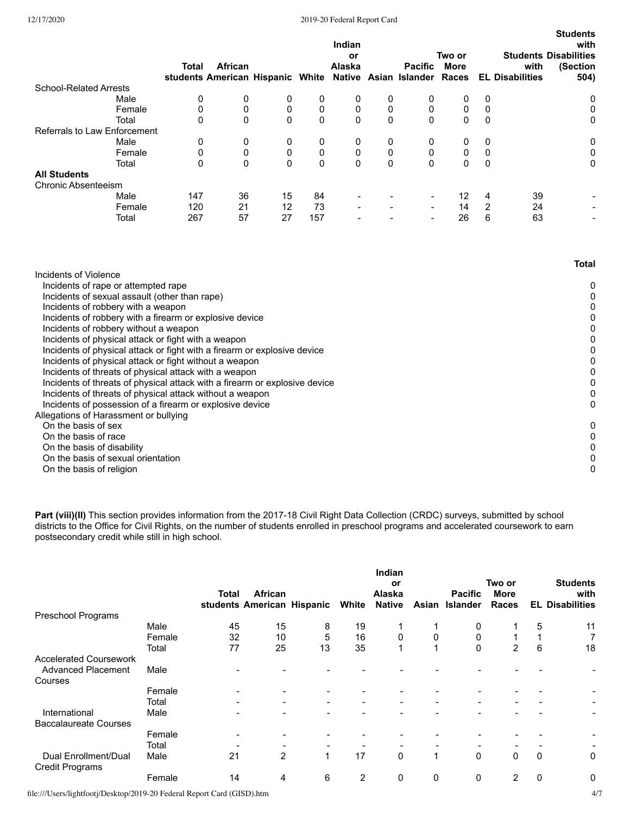|                               | Total | African                          |    |             | Indian<br>or<br>Alaska   |   | <b>Pacific</b>              | Two or<br>More |          | <b>Students Disabilities</b><br>with | Students<br>with<br>(Section |
|-------------------------------|-------|----------------------------------|----|-------------|--------------------------|---|-----------------------------|----------------|----------|--------------------------------------|------------------------------|
|                               |       | students American Hispanic White |    |             |                          |   | Native Asian Islander Races |                |          | <b>EL Disabilities</b>               | 504)                         |
| <b>School-Related Arrests</b> |       |                                  |    |             |                          |   |                             |                |          |                                      |                              |
| Male                          | 0     | 0                                | 0  | 0           | 0                        | 0 | 0                           | 0              | 0        |                                      | 0                            |
| Female                        | 0     | 0                                | 0  | 0           | 0                        | 0 | 0                           | 0              | 0        |                                      | 0                            |
| Total                         | 0     | 0                                | 0  | $\mathbf 0$ | 0                        | 0 | $\Omega$                    | 0              | $\Omega$ |                                      | 0                            |
| Referrals to Law Enforcement  |       |                                  |    |             |                          |   |                             |                |          |                                      |                              |
| Male                          | 0     | 0                                | 0  | 0           | 0                        | 0 | 0                           | 0              | 0        |                                      | 0                            |
| Female                        | 0     | 0                                | 0  | 0           | 0                        | 0 | 0                           | 0              | 0        |                                      | 0                            |
| Total                         | 0     | 0                                | 0  | $\mathbf 0$ | 0                        | 0 | $\Omega$                    | 0              | 0        |                                      | 0                            |
| <b>All Students</b>           |       |                                  |    |             |                          |   |                             |                |          |                                      |                              |
| <b>Chronic Absenteeism</b>    |       |                                  |    |             |                          |   |                             |                |          |                                      |                              |
| Male                          | 147   | 36                               | 15 | 84          |                          |   |                             | 12             | 4        | 39                                   |                              |
| Female                        | 120   | 21                               | 12 | 73          | $\overline{\phantom{a}}$ |   |                             | 14             | 2        | 24                                   | $\overline{\phantom{0}}$     |
| Total                         | 267   | 57                               | 27 | 157         |                          |   |                             | 26             | 6        | 63                                   | $\overline{\phantom{0}}$     |
|                               |       |                                  |    |             |                          |   |                             |                |          |                                      |                              |

|                                                                            | Total |
|----------------------------------------------------------------------------|-------|
| Incidents of Violence                                                      |       |
| Incidents of rape or attempted rape                                        | 0     |
| Incidents of sexual assault (other than rape)                              |       |
| Incidents of robbery with a weapon                                         | 0     |
| Incidents of robbery with a firearm or explosive device                    |       |
| Incidents of robbery without a weapon                                      | 0     |
| Incidents of physical attack or fight with a weapon                        | 0     |
| Incidents of physical attack or fight with a firearm or explosive device   |       |
| Incidents of physical attack or fight without a weapon                     | 0     |
| Incidents of threats of physical attack with a weapon                      | 0     |
| Incidents of threats of physical attack with a firearm or explosive device | 0     |
| Incidents of threats of physical attack without a weapon                   | 0     |
| Incidents of possession of a firearm or explosive device                   | 0     |
| Allegations of Harassment or bullying                                      |       |
| On the basis of sex                                                        | 0     |
| On the basis of race                                                       |       |
| On the basis of disability                                                 | 0     |
| On the basis of sexual orientation                                         |       |
| On the basis of religion                                                   | 0     |
|                                                                            |       |

**Part (viii)(II)** This section provides information from the 2017-18 Civil Right Data Collection (CRDC) surveys, submitted by school districts to the Office for Civil Rights, on the number of students enrolled in preschool programs and accelerated coursework to earn postsecondary credit while still in high school.

|                                                |        | Total | African<br>students American Hispanic |    | White | Indian<br>or<br>Alaska<br><b>Native</b> | Asian | <b>Pacific</b><br><b>Islander</b> | Two or<br><b>More</b><br>Races |              | <b>Students</b><br>with<br><b>EL Disabilities</b> |
|------------------------------------------------|--------|-------|---------------------------------------|----|-------|-----------------------------------------|-------|-----------------------------------|--------------------------------|--------------|---------------------------------------------------|
| Preschool Programs                             |        |       |                                       |    |       |                                         |       |                                   |                                |              |                                                   |
|                                                | Male   | 45    | 15                                    | 8  | 19    |                                         |       | 0                                 |                                | 5            | 11                                                |
|                                                | Female | 32    | 10                                    | 5  | 16    | 0                                       | 0     | 0                                 |                                |              | 7                                                 |
|                                                | Total  | 77    | 25                                    | 13 | 35    |                                         |       | 0                                 | $\overline{2}$                 | 6            | 18                                                |
| <b>Accelerated Coursework</b>                  |        |       |                                       |    |       |                                         |       |                                   |                                |              |                                                   |
| <b>Advanced Placement</b>                      | Male   |       |                                       |    |       |                                         |       |                                   |                                |              |                                                   |
| Courses                                        |        |       |                                       |    |       |                                         |       |                                   |                                |              |                                                   |
|                                                | Female |       |                                       |    |       |                                         |       |                                   |                                |              |                                                   |
|                                                | Total  |       | $\overline{\phantom{a}}$              | -  |       | -                                       |       | -                                 |                                |              | $\overline{\phantom{a}}$                          |
| International                                  | Male   |       |                                       |    |       |                                         |       |                                   |                                |              | $\overline{\phantom{a}}$                          |
| <b>Baccalaureate Courses</b>                   |        |       |                                       |    |       |                                         |       |                                   |                                |              |                                                   |
|                                                | Female |       |                                       |    |       |                                         |       |                                   |                                |              |                                                   |
|                                                | Total  |       |                                       |    |       |                                         |       |                                   |                                |              |                                                   |
| Dual Enrollment/Dual<br><b>Credit Programs</b> | Male   | 21    | 2                                     | 1  | 17    | 0                                       | 1     | $\Omega$                          | $\Omega$                       | $\mathbf{0}$ | 0                                                 |
|                                                | Female | 14    | 4                                     | 6  | 2     | 0                                       | 0     | 0                                 | 2                              | 0            | 0                                                 |

file:///Users/lightfootj/Desktop/2019-20 Federal Report Card (GISD).htm 4/7

**Students**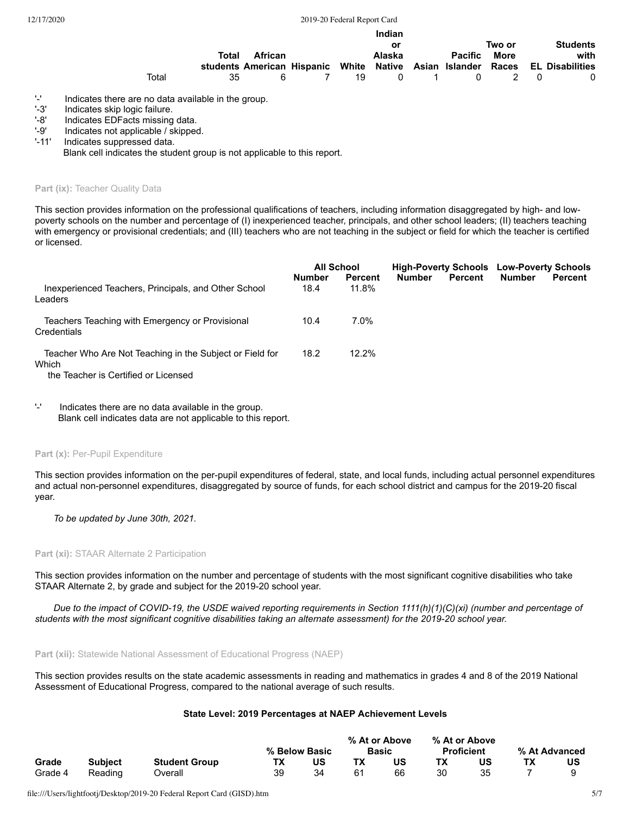|       |       | Indian                                                                       |                           |  |        |  |                |        |  |                 |
|-------|-------|------------------------------------------------------------------------------|---------------------------|--|--------|--|----------------|--------|--|-----------------|
|       |       |                                                                              |                           |  | or     |  |                | Two or |  | <b>Students</b> |
|       | Total | African                                                                      |                           |  | Alaska |  | <b>Pacific</b> | More   |  | with            |
|       |       | students American Hispanic White Native Asian Islander Races EL Disabilities |                           |  |        |  |                |        |  |                 |
| Total | 35.   |                                                                              | $\overline{7}$<br>- 6 - 1 |  |        |  | 19 0 1 0 2 0   |        |  | 0               |

'-' Indicates there are no data available in the group.<br>'-3' Indicates skip logic failure.

'-8' Indicates EDFacts missing data.<br>'-9' Indicates not applicable / skipped

'-9' Indicates not applicable / skipped.<br>'-11' Indicates suppressed data.

Indicates suppressed data.

Blank cell indicates the student group is not applicable to this report.

Part (ix): Teacher Quality Data

This section provides information on the professional qualifications of teachers, including information disaggregated by high- and lowpoverty schools on the number and percentage of (I) inexperienced teacher, principals, and other school leaders; (II) teachers teaching with emergency or provisional credentials; and (III) teachers who are not teaching in the subject or field for which the teacher is certified or licensed.

|                                                                                                           | <b>All School</b>     |                         |               |                | <b>High-Poverty Schools Low-Poverty Schools</b> |                |
|-----------------------------------------------------------------------------------------------------------|-----------------------|-------------------------|---------------|----------------|-------------------------------------------------|----------------|
| Inexperienced Teachers, Principals, and Other School<br>Leaders                                           | <b>Number</b><br>18.4 | <b>Percent</b><br>11.8% | <b>Number</b> | <b>Percent</b> | <b>Number</b>                                   | <b>Percent</b> |
| Teachers Teaching with Emergency or Provisional<br>Credentials                                            | 10.4                  | 7.0%                    |               |                |                                                 |                |
| Teacher Who Are Not Teaching in the Subject or Field for<br>Which<br>the Teacher is Certified or Licensed | 18.2                  | 12.2%                   |               |                |                                                 |                |

'-' Indicates there are no data available in the group. Blank cell indicates data are not applicable to this report.

#### Part (x): Per-Pupil Expenditure

This section provides information on the per-pupil expenditures of federal, state, and local funds, including actual personnel expenditures and actual non-personnel expenditures, disaggregated by source of funds, for each school district and campus for the 2019-20 fiscal year.

*To be updated by June 30th, 2021.*

#### **Part (xi):** STAAR Alternate 2 Participation

This section provides information on the number and percentage of students with the most significant cognitive disabilities who take STAAR Alternate 2, by grade and subject for the 2019-20 school year.

*Due to the impact of COVID-19, the USDE waived reporting requirements in Section 1111(h)(1)(C)(xi) (number and percentage of students with the most significant cognitive disabilities taking an alternate assessment) for the 2019-20 school year.*

**Part (xii):** Statewide National Assessment of Educational Progress (NAEP)

This section provides results on the state academic assessments in reading and mathematics in grades 4 and 8 of the 2019 National Assessment of Educational Progress, compared to the national average of such results.

#### **State Level: 2019 Percentages at NAEP Achievement Levels**

|         |                |                      |    | % Below Basic |    | % At or Above<br><b>Basic</b> |    | % At or Above<br><b>Proficient</b> | % At Advanced |
|---------|----------------|----------------------|----|---------------|----|-------------------------------|----|------------------------------------|---------------|
| Grade   | <b>Subject</b> | <b>Student Group</b> | TХ | บร            |    | US                            |    | บร                                 | US            |
| Grade 4 | Reading        | ⊃verall              | 39 |               | 61 | 66                            | 30 |                                    |               |

<sup>&#</sup>x27;-3' Indicates skip logic failure.<br>'-8' Indicates EDFacts missing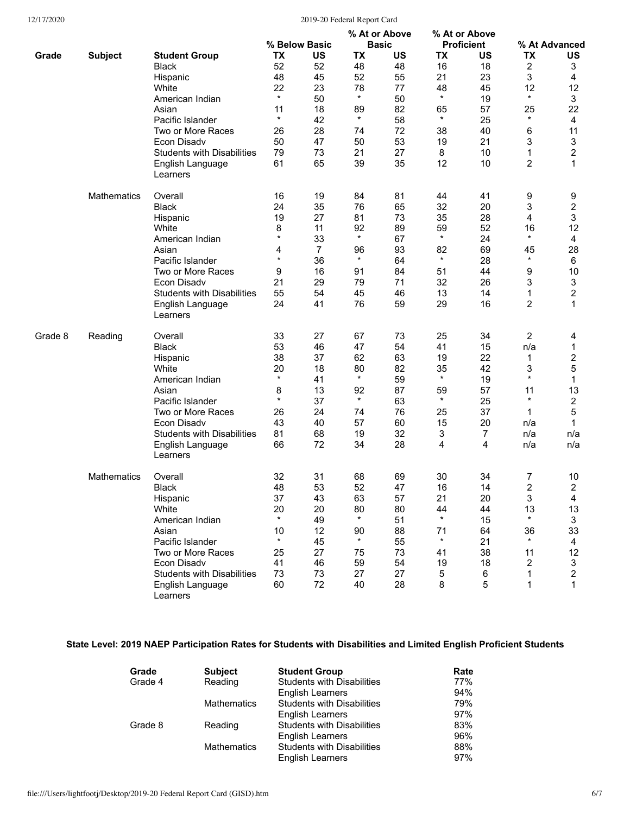|         |                    |                                   | % Below Basic |    | % At or Above<br><b>Basic</b> |    | % At or Above<br><b>Proficient</b> |                | % At Advanced  |                         |
|---------|--------------------|-----------------------------------|---------------|----|-------------------------------|----|------------------------------------|----------------|----------------|-------------------------|
| Grade   | <b>Subject</b>     | <b>Student Group</b>              | ТX            | US | <b>TX</b>                     | US | TX                                 | US             | <b>TX</b>      | US                      |
|         |                    |                                   |               |    |                               |    |                                    |                |                |                         |
|         |                    | <b>Black</b>                      | 52            | 52 | 48                            | 48 | 16                                 | 18             | 2              | 3                       |
|         |                    | Hispanic                          | 48            | 45 | 52                            | 55 | 21                                 | 23             | 3              | 4                       |
|         |                    | White                             | 22            | 23 | 78                            | 77 | 48                                 | 45             | 12             | 12                      |
|         |                    | American Indian                   | $\star$       | 50 | $^\star$                      | 50 | $\star$                            | 19             | $\star$        | 3                       |
|         |                    | Asian                             | 11            | 18 | 89                            | 82 | 65                                 | 57             | 25             | 22                      |
|         |                    | Pacific Islander                  | $\star$       | 42 | $\star$                       | 58 | $\star$                            | 25             | $\star$        | 4                       |
|         |                    | Two or More Races                 | 26            | 28 | 74                            | 72 | 38                                 | 40             | 6              | 11                      |
|         |                    | Econ Disadv                       | 50            | 47 | 50                            | 53 | 19                                 | 21             | 3              | 3                       |
|         |                    | <b>Students with Disabilities</b> | 79            | 73 | 21                            | 27 | 8                                  | 10             | 1              | $\overline{2}$          |
|         |                    | English Language                  | 61            | 65 | 39                            | 35 | 12                                 | 10             | 2              | 1                       |
|         |                    | Learners                          |               |    |                               |    |                                    |                |                |                         |
|         | <b>Mathematics</b> | Overall                           | 16            | 19 | 84                            | 81 | 44                                 | 41             | 9              | 9                       |
|         |                    | <b>Black</b>                      | 24            | 35 | 76                            | 65 | 32                                 | 20             | 3              | $\overline{\mathbf{c}}$ |
|         |                    | Hispanic                          | 19            | 27 | 81                            | 73 | 35                                 | 28             | 4              | 3                       |
|         |                    | White                             | 8             | 11 | 92                            | 89 | 59                                 | 52             | 16             | 12                      |
|         |                    | American Indian                   | $^{\star}$    | 33 | $\star$                       | 67 | $\star$                            | 24             | $\star$        | 4                       |
|         |                    | Asian                             | 4             | 7  | 96                            | 93 | 82                                 | 69             | 45             | 28                      |
|         |                    | Pacific Islander                  | $\star$       | 36 | $\star$                       | 64 | $\star$                            | 28             | $^\star$       | 6                       |
|         |                    |                                   |               |    |                               |    |                                    |                |                | 10                      |
|         |                    | Two or More Races                 | 9             | 16 | 91                            | 84 | 51                                 | 44             | 9              |                         |
|         |                    | Econ Disadv                       | 21            | 29 | 79                            | 71 | 32                                 | 26             | 3              | 3                       |
|         |                    | <b>Students with Disabilities</b> | 55            | 54 | 45                            | 46 | 13                                 | 14             | 1              | $\overline{\mathbf{c}}$ |
|         |                    | English Language<br>Learners      | 24            | 41 | 76                            | 59 | 29                                 | 16             | 2              | 1                       |
| Grade 8 | Reading            | Overall                           | 33            | 27 | 67                            | 73 | 25                                 | 34             | $\overline{2}$ | 4                       |
|         |                    | <b>Black</b>                      | 53            | 46 | 47                            | 54 | 41                                 | 15             | n/a            | 1                       |
|         |                    | Hispanic                          | 38            | 37 | 62                            | 63 | 19                                 | 22             | 1              | $\overline{c}$          |
|         |                    | White                             | 20            | 18 | 80                            | 82 | 35                                 | 42             | 3              | 5                       |
|         |                    | American Indian                   | $\star$       | 41 | $\star$                       | 59 | $\star$                            | 19             | $\star$        | 1                       |
|         |                    | Asian                             | 8             | 13 | 92                            | 87 | 59                                 | 57             | 11             | 13                      |
|         |                    | Pacific Islander                  | $\star$       | 37 | $\star$                       | 63 | $\star$                            | 25             | $\star$        | $\overline{c}$          |
|         |                    | Two or More Races                 | 26            | 24 | 74                            | 76 | 25                                 | 37             | 1              | 5                       |
|         |                    | Econ Disadv                       | 43            | 40 | 57                            | 60 | 15                                 | 20             | n/a            | 1                       |
|         |                    |                                   |               |    |                               |    |                                    |                |                |                         |
|         |                    | <b>Students with Disabilities</b> | 81            | 68 | 19                            | 32 | 3                                  | $\overline{7}$ | n/a            | n/a                     |
|         |                    | English Language<br>Learners      | 66            | 72 | 34                            | 28 | 4                                  | 4              | n/a            | n/a                     |
|         | Mathematics        | Overall                           | 32            | 31 | 68                            | 69 | 30                                 | 34             | 7              | 10                      |
|         |                    | <b>Black</b>                      | 48            | 53 | 52                            | 47 | 16                                 | 14             | 2              | $\overline{\mathbf{c}}$ |
|         |                    | Hispanic                          | 37            | 43 | 63                            | 57 | 21                                 | 20             | 3              | 4                       |
|         |                    | White                             | 20            | 20 | 80                            | 80 | 44                                 | 44             | 13             | 13                      |
|         |                    | American Indian                   | $\star$       | 49 | $\star$                       | 51 | $\star$                            | 15             | $\star$        | 3                       |
|         |                    | Asian                             | 10            | 12 | 90                            | 88 | 71                                 | 64             | 36             | 33                      |
|         |                    | Pacific Islander                  | $\star$       | 45 | $\star$                       | 55 | $\star$                            | 21             | $\star$        | 4                       |
|         |                    | Two or More Races                 | 25            | 27 | 75                            | 73 | 41                                 | 38             | 11             | 12                      |
|         |                    | Econ Disadv                       | 41            | 46 | 59                            | 54 | 19                                 | 18             | 2              | 3                       |
|         |                    | <b>Students with Disabilities</b> | 73            | 73 | 27                            | 27 |                                    | 6              | 1              | 2                       |
|         |                    |                                   |               | 72 | 40                            | 28 | 5<br>8                             | 5              | 1              | 1                       |
|         |                    | English Language<br>Learners      | 60            |    |                               |    |                                    |                |                |                         |

# **State Level: 2019 NAEP Participation Rates for Students with Disabilities and Limited English Proficient Students**

| Grade   | <b>Subject</b>     | <b>Student Group</b>              | Rate |
|---------|--------------------|-----------------------------------|------|
| Grade 4 | Reading            | <b>Students with Disabilities</b> | 77%  |
|         |                    | <b>English Learners</b>           | 94%  |
|         | <b>Mathematics</b> | <b>Students with Disabilities</b> | 79%  |
|         |                    | English Learners                  | 97%  |
| Grade 8 | Reading            | <b>Students with Disabilities</b> | 83%  |
|         |                    | <b>English Learners</b>           | 96%  |
|         | <b>Mathematics</b> | <b>Students with Disabilities</b> | 88%  |
|         |                    | English Learners                  | 97%  |